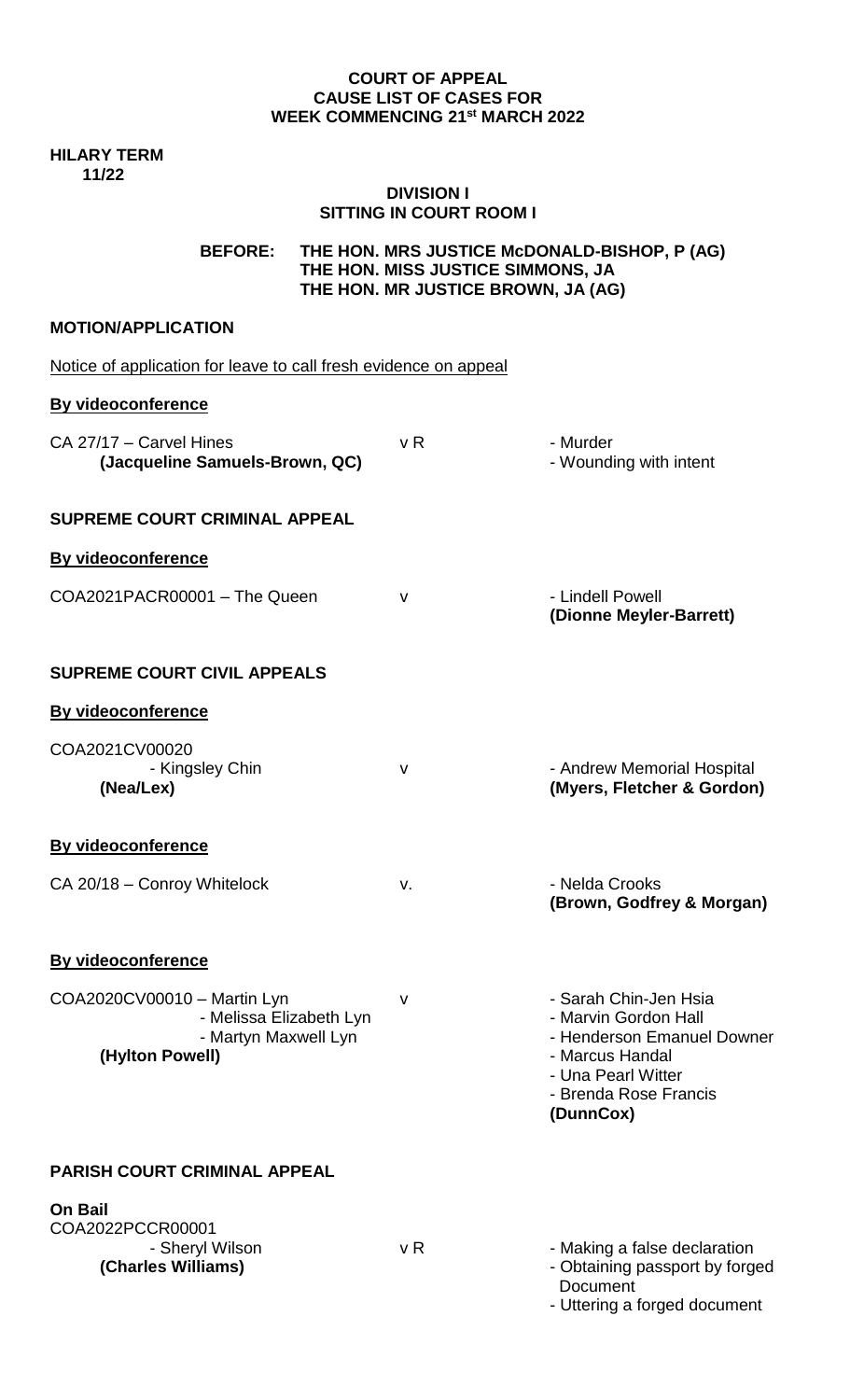#### **COURT OF APPEAL CAUSE LIST OF CASES FOR WEEK COMMENCING 21st MARCH 2022**

### **HILARY TERM 11/22**

## **DIVISION I SITTING IN COURT ROOM I**

**BEFORE: THE HON. MRS JUSTICE McDONALD-BISHOP, P (AG) THE HON. MISS JUSTICE SIMMONS, JA THE HON. MR JUSTICE BROWN, JA (AG)**

# **MOTION/APPLICATION**

Notice of application for leave to call fresh evidence on appeal

## **By videoconference**

| CA 27/17 - Carvel Hines<br>(Jacqueline Samuels-Brown, QC)                                         | v <sub>R</sub> | - Murder<br>- Wounding with intent                                                                                                                         |
|---------------------------------------------------------------------------------------------------|----------------|------------------------------------------------------------------------------------------------------------------------------------------------------------|
| <b>SUPREME COURT CRIMINAL APPEAL</b>                                                              |                |                                                                                                                                                            |
| <b>By videoconference</b>                                                                         |                |                                                                                                                                                            |
| COA2021PACR00001 - The Queen                                                                      | $\mathsf{V}$   | - Lindell Powell<br>(Dionne Meyler-Barrett)                                                                                                                |
| <b>SUPREME COURT CIVIL APPEALS</b>                                                                |                |                                                                                                                                                            |
| <b>By videoconference</b>                                                                         |                |                                                                                                                                                            |
| COA2021CV00020<br>- Kingsley Chin<br>(Nea/Lex)                                                    | $\mathsf{V}$   | - Andrew Memorial Hospital<br>(Myers, Fletcher & Gordon)                                                                                                   |
| <b>By videoconference</b>                                                                         |                |                                                                                                                                                            |
| CA 20/18 - Conroy Whitelock                                                                       | v.             | - Nelda Crooks<br>(Brown, Godfrey & Morgan)                                                                                                                |
| By videoconference                                                                                |                |                                                                                                                                                            |
| COA2020CV00010 - Martin Lyn<br>- Melissa Elizabeth Lyn<br>- Martyn Maxwell Lyn<br>(Hylton Powell) | $\vee$         | - Sarah Chin-Jen Hsia<br>- Marvin Gordon Hall<br>- Henderson Emanuel Downer<br>- Marcus Handal<br>- Una Pearl Witter<br>- Brenda Rose Francis<br>(DunnCox) |
| <b>PARISH COURT CRIMINAL APPEAL</b>                                                               |                |                                                                                                                                                            |

| <b>On Bail</b>     |     |                                |
|--------------------|-----|--------------------------------|
| COA2022PCCR00001   |     |                                |
| - Sheryl Wilson    | v R | - Making a false declaration   |
| (Charles Williams) |     | - Obtaining passport by forged |
|                    |     | Document                       |

- Uttering a forged document